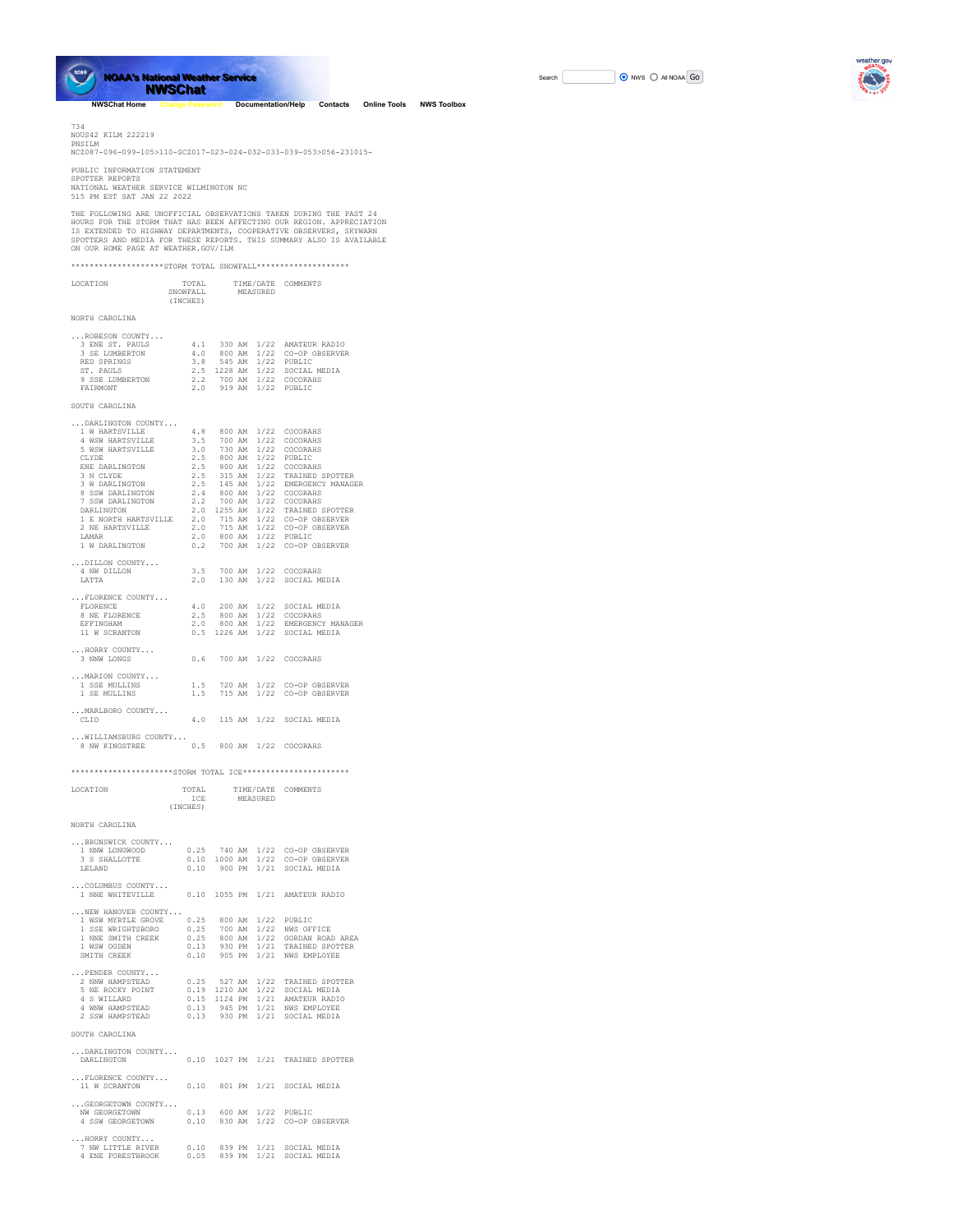

**NOAA's National Weather Service NOAA's National Weather Service NWSChat NWSChat**

**[NWSChat Home](https://nwschat.weather.gov/) [Change Password](https://nwschat.weather.gov/pwupdate.php) [Documentation/Help](https://nwschat.weather.gov/documentation.php) [Contacts](https://nwschat.weather.gov/contacts.php) [Online Tools](https://nwschat.weather.gov/my/) [NWS Toolbox](https://nwschat.weather.gov/nws/nwstoolbox.php)**

734<br>NOUS42 KILM 222219<br>PNSILM<br>NCZ087-096-099-105>110-SCZ017-023-024-032-033-039-053>056-231015-

PUBLIC INFORMATION STATEMENT SPOTTER REPORTS NATIONAL WEATHER SERVICE WILMINGTON NC 515 PM EST SAT JAN 22 2022

THE FOLLOWING ARE UNOFFICIAL OBSERVATIONS TAKEN DURING THE PAST 24<br>HOURS FOR THE STORM THAT HAS BEEN AFFECTING OUR REGION. APPRECIATION<br>IS EXTENDED TO HIGHWAY DEPARTMENTS, COOPERATIVE OBSERVERS, SKYWARN<br>SPOTTERS AND MEDIA

\*\*\*\*\*\*\*\*\*\*\*\*\*\*\*\*\*\*\*\*STORM TOTAL SNOWFALL\*\*\*\*\*\*\*\*\*\*\*\*\*\*\*\*\*\*\*\*

| LOCATION                                                                                                       | (INCHES) | TOTAL TIME/DATE COMMENTS<br>SNOWFALL MEASURED                                |                                                                                                  |
|----------------------------------------------------------------------------------------------------------------|----------|------------------------------------------------------------------------------|--------------------------------------------------------------------------------------------------|
| NORTH CAROLINA                                                                                                 |          |                                                                              |                                                                                                  |
| ROBESON COUNTY<br>3 ENE ST. PAULS<br>3 SE LUMBERTON<br>RED SPRINGS<br>ST. PAULS<br>9 SSE LUMBERTON<br>FATRMONT |          | 3.8 545 AM 1/22 PUBLIC<br>2.2 700 AM 1/22 COCORAHS<br>2.0 919 AM 1/22 PUBLIC | 4.1 330 AM 1/22 AMATEUR RADIO<br>4.0 800 AM 1/22 CO-OP OBSERVER<br>2.5 1228 AM 1/22 SOCIAL MEDIA |
| SOUTH CAROLINA                                                                                                 |          |                                                                              |                                                                                                  |
| DARLINGTON COUNTY<br>1 W HARTSVILLE 4.8 800 AM 1/22 COCORAHS<br>4 WSW HARTSVILLE 3.5 700 AM 1/22 COCORAHS      |          |                                                                              |                                                                                                  |

| 9 WSW HARTSVILLE 3.5 700 AM 1/22 COCORAHS<br>5 WSW HARTSVILLE 3.0 730 AM 1/22 COCORAHS                                                                                                                                                                                         |  |                                                                                            |
|--------------------------------------------------------------------------------------------------------------------------------------------------------------------------------------------------------------------------------------------------------------------------------|--|--------------------------------------------------------------------------------------------|
|                                                                                                                                                                                                                                                                                |  |                                                                                            |
| $\begin{array}{cccccc} \texttt{CLYDE} & \texttt{2.5} & \texttt{800 AM} & \texttt{1/22} & \texttt{PUBLIC} \\ \texttt{ENE DARELINGTON} & \texttt{2.5} & \texttt{800 AM} & \texttt{1/22} & \texttt{COCORAHS} \end{array}$                                                         |  |                                                                                            |
|                                                                                                                                                                                                                                                                                |  |                                                                                            |
|                                                                                                                                                                                                                                                                                |  |                                                                                            |
| 8 SSW DARLINGTON 2.4 800 AM 1/22 COCORAHS                                                                                                                                                                                                                                      |  |                                                                                            |
| 7 SSW DARLINGTON 2.2 700 AM 1/22 COCORAHS                                                                                                                                                                                                                                      |  |                                                                                            |
| DARLINGTON 2.0 1255 AM 1/22 TRAINED SPOTTER                                                                                                                                                                                                                                    |  |                                                                                            |
| 1 E NORTH HARTSVILLE 2.0 715 AM 1/22 CO-OP OBSERVER                                                                                                                                                                                                                            |  |                                                                                            |
| 2 NE HARTSVILLE                                                                                                                                                                                                                                                                |  | 2.0 715 AM 1/22 CO-OP OBSERVER<br>2.0 715 AM 1/22 CO-OP OBSERVER<br>2.0 800 AM 1/22 PUBLIC |
| <b>T.AMAR</b>                                                                                                                                                                                                                                                                  |  |                                                                                            |
| 1 W DARLINGTON 6.2 700 AM 1/22 CO-OP OBSERVER                                                                                                                                                                                                                                  |  |                                                                                            |
| DILLON COUNTY                                                                                                                                                                                                                                                                  |  |                                                                                            |
| 4 NW DILLON 3.5 700 AM 1/22 COCORAHS                                                                                                                                                                                                                                           |  |                                                                                            |
| LATTA                                                                                                                                                                                                                                                                          |  | 2.0 130 AM 1/22 SOCIAL MEDIA                                                               |
| FLORENCE COUNTY                                                                                                                                                                                                                                                                |  |                                                                                            |
|                                                                                                                                                                                                                                                                                |  | 4.0 200 AM $1/22$ SOCIAL MEDIA                                                             |
|                                                                                                                                                                                                                                                                                |  |                                                                                            |
|                                                                                                                                                                                                                                                                                |  |                                                                                            |
| $\begin{tabular}{lcccccc} FLORENCE & & & & & 4.0 & 200 AM & 1/22 & SOCIAL MEDIA \\ 8 NE FLORENCE & & & & 2.5 & 800 AM & 1/22 & CONRANS \\ EFFINGHAM & & & 2.0 & 800 AM & 1/22 & EMERGENCY MANAGER \\ 11 W SCRANTON & & & 0.5 & 1226 AM & 1/22 & SOCIAL MEDIA \\ \end{tabular}$ |  |                                                                                            |
| HORRY COUNTY                                                                                                                                                                                                                                                                   |  |                                                                                            |
| 3 NNW LONGS                                                                                                                                                                                                                                                                    |  | 0.6 700 AM 1/22 COCORAHS                                                                   |
| MARION COUNTY                                                                                                                                                                                                                                                                  |  |                                                                                            |
| 1 SSE MULLINS 1.5 720 AM 1/22 CO-OP OBSERVER                                                                                                                                                                                                                                   |  |                                                                                            |
| 1 SE MULLINS                                                                                                                                                                                                                                                                   |  | 1.5 715 AM 1/22 CO-OP OBSERVER                                                             |
|                                                                                                                                                                                                                                                                                |  |                                                                                            |
| MARLBORO COUNTY                                                                                                                                                                                                                                                                |  |                                                                                            |
| CLIO                                                                                                                                                                                                                                                                           |  | 4.0 115 AM 1/22 SOCIAL MEDIA                                                               |
| WILLIAMSBURG COUNTY                                                                                                                                                                                                                                                            |  |                                                                                            |
| 8 NW KINGSTREE 0.5 800 AM 1/22 COCORAHS                                                                                                                                                                                                                                        |  |                                                                                            |
|                                                                                                                                                                                                                                                                                |  |                                                                                            |

\*\*\*\*\*\*\*\*\*\*\*\*\*\*\*\*\*\*\*\*STORM TOTAL ICE\*\*\*\*\*\*\*\*\*\*\*\*\*\*\*\*\*\*\*\*\*\*

LOCATION TOTAL TIME/DATE COMMENTS

|                                                                                                                                                      | <b>TCE</b><br>(INCHES)         | MEASURED     |  |      |                                                                                                           |
|------------------------------------------------------------------------------------------------------------------------------------------------------|--------------------------------|--------------|--|------|-----------------------------------------------------------------------------------------------------------|
| NORTH CAROLINA                                                                                                                                       |                                |              |  |      |                                                                                                           |
| BRUNSWICK COUNTY<br>1 NNW LONGWOOD<br>3 S SHALLOTTE 0.10 1000 AM 1/22 CO-OP OBSERVER<br>LELAND                                                       | 0.25 740 AM<br>0.10 900 PM     |              |  |      | 1/22 CO-OP OBSERVER<br>1/21 SOCIAL MEDIA                                                                  |
| COLUMBUS COUNTY<br>1 NNE WHITEVILLE 0.10 1055 PM                                                                                                     |                                |              |  |      | 1/21 AMATEUR RADIO                                                                                        |
| NEW HANOVER COUNTY<br>1 WSW MYRTLE GROVE 0.25 800 AM<br>1 SSE WRIGHTSBORO 0.25 700 AM<br>1 NNE SMITH CREEK 0.25 800 AM<br>1 WSW OGDEN<br>SMITH CREEK | 0.13 930 PM<br>0.10 905 PM     |              |  |      | 1/22 PUBLIC<br>1/22 NWS OFFICE<br>1/22 GORDAN ROAD AREA<br>1/21 TRAINED SPOTTER<br>1/21 NWS EMPLOYEE      |
| PENDER COUNTY<br>2 NNW HAMPSTEAD 0.25 527 AM<br>5 NE ROCKY POINT<br>4 S WILLARD<br>4 WNW HAMPSTEAD 0.13 945 PM<br>2 SSW HAMPSTEAD 0.13 930 PM        | $0.19$ 1210 AM<br>0.15 1124 PM |              |  |      | 1/22 TRAINED SPOTTER<br>1/22 SOCIAL MEDIA<br>1/21 AMATEUR RADIO<br>1/21 NWS EMPLOYEE<br>1/21 SOCIAL MEDIA |
| SOUTH CAROLINA                                                                                                                                       |                                |              |  |      |                                                                                                           |
| DARLINGTON COUNTY<br>DARI. INGTON                                                                                                                    |                                | 0.10 1027 PM |  |      | 1/21 TRAINED SPOTTER                                                                                      |
| FLORENCE COUNTY<br>11 W SCRANTON                                                                                                                     | 0.10 801 PM                    |              |  |      | 1/21 SOCIAL MEDIA                                                                                         |
| GEORGETOWN COUNTY<br>NW GEORGETOWN<br>4 SSW GEORGETOWN 0.10 830 AM                                                                                   |                                |              |  |      | 0.13 600 AM 1/22 PUBLIC<br>1/22 CO-OP OBSERVER                                                            |
| HORRY COUNTY<br>7 NW LITTLE RIVER<br>4 ENE FORESTBROOK                                                                                               | 0.05                           | 839 PM       |  | 1/21 | 0.10 839 PM 1/21 SOCIAL MEDIA<br>SOCIAL MEDIA                                                             |

| Search |  | ONWS O AII NOAA GO |  |
|--------|--|--------------------|--|